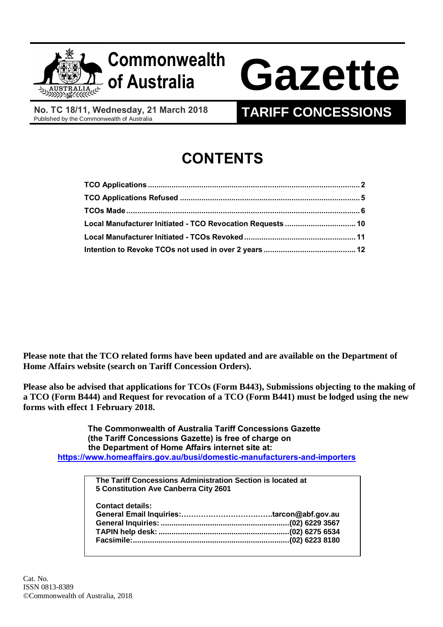

# **Commonwealth**

## **of Australia Gazette**

**No. TC 18/11, Wednesday, 21 March 2018**

### **TARIFF CONCESSIONS**

## **CONTENTS**

| Local Manufacturer Initiated - TCO Revocation Requests  10 |  |
|------------------------------------------------------------|--|
|                                                            |  |
|                                                            |  |

**Please note that the TCO related forms have been updated and are available on the Department of Home Affairs website (search on Tariff Concession Orders).**

**Please also be advised that applications for TCOs (Form B443), Submissions objecting to the making of a TCO (Form B444) and Request for revocation of a TCO (Form B441) must be lodged using the new forms with effect 1 February 2018.**

 **The Commonwealth of Australia Tariff Concessions Gazette (the Tariff Concessions Gazette) is free of charge on the Department of Home Affairs internet site at: <https://www.homeaffairs.gov.au/busi/domestic-manufacturers-and-importers>**

| The Tariff Concessions Administration Section is located at<br>5 Constitution Ave Canberra City 2601 |  |
|------------------------------------------------------------------------------------------------------|--|
|                                                                                                      |  |
| <b>Contact details:</b>                                                                              |  |
|                                                                                                      |  |
|                                                                                                      |  |
|                                                                                                      |  |
|                                                                                                      |  |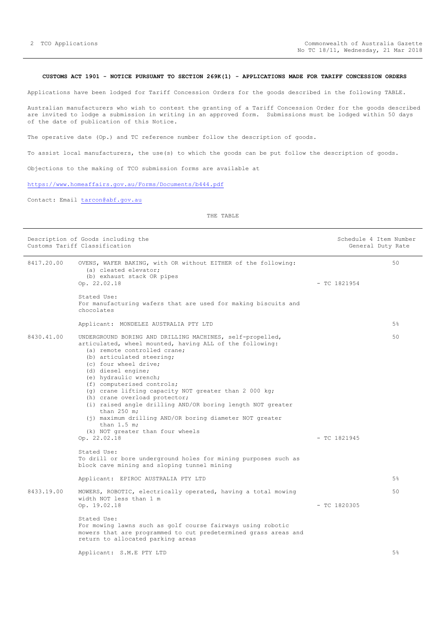#### <span id="page-1-0"></span>**CUSTOMS ACT 1901 - NOTICE PURSUANT TO SECTION 269K(1) - APPLICATIONS MADE FOR TARIFF CONCESSION ORDERS**

Applications have been lodged for Tariff Concession Orders for the goods described in the following TABLE.

Australian manufacturers who wish to contest the granting of a Tariff Concession Order for the goods described are invited to lodge a submission in writing in an approved form. Submissions must be lodged within 50 days of the date of publication of this Notice.

The operative date (Op.) and TC reference number follow the description of goods.

To assist local manufacturers, the use(s) to which the goods can be put follow the description of goods.

Objections to the making of TCO submission forms are available at

<https://www.homeaffairs.gov.au/Forms/Documents/b444.pdf>

Contact: Email [tarcon@abf.gov.au](mailto:tarcon@abf.gov.au)

|            | Description of Goods including the<br>Customs Tariff Classification                                                                                                                                                                                                                                                                                                                                                                                                                                                                                                                                                                                                                | Schedule 4 Item Number<br>General Duty Rate |
|------------|------------------------------------------------------------------------------------------------------------------------------------------------------------------------------------------------------------------------------------------------------------------------------------------------------------------------------------------------------------------------------------------------------------------------------------------------------------------------------------------------------------------------------------------------------------------------------------------------------------------------------------------------------------------------------------|---------------------------------------------|
| 8417.20.00 | OVENS, WAFER BAKING, with OR without EITHER of the following:<br>(a) cleated elevator;<br>(b) exhaust stack OR pipes<br>Op. 22.02.18                                                                                                                                                                                                                                                                                                                                                                                                                                                                                                                                               | 50<br>$-$ TC 1821954                        |
|            | Stated Use:<br>For manufacturing wafers that are used for making biscuits and<br>chocolates                                                                                                                                                                                                                                                                                                                                                                                                                                                                                                                                                                                        |                                             |
|            | Applicant: MONDELEZ AUSTRALIA PTY LTD                                                                                                                                                                                                                                                                                                                                                                                                                                                                                                                                                                                                                                              | 5%                                          |
| 8430.41.00 | UNDERGROUND BORING AND DRILLING MACHINES, self-propelled,<br>articulated, wheel mounted, having ALL of the following:<br>(a) remote controlled crane;<br>(b) articulated steering;<br>(c) four wheel drive;<br>(d) diesel engine;<br>(e) hydraulic wrench;<br>(f) computerised controls;<br>(g) crane lifting capacity NOT greater than 2 000 kg;<br>(h) crane overload protector;<br>(i) raised angle drilling AND/OR boring length NOT greater<br>than $250$ m;<br>(j) maximum drilling AND/OR boring diameter NOT greater<br>than $1.5$ m;<br>(k) NOT greater than four wheels<br>Op. 22.02.18<br>Stated Use:<br>To drill or bore underground holes for mining purposes such as | 50<br>$-$ TC 1821945                        |
|            | block cave mining and sloping tunnel mining                                                                                                                                                                                                                                                                                                                                                                                                                                                                                                                                                                                                                                        |                                             |
|            | Applicant: EPIROC AUSTRALIA PTY LTD                                                                                                                                                                                                                                                                                                                                                                                                                                                                                                                                                                                                                                                | 5%                                          |
| 8433.19.00 | MOWERS, ROBOTIC, electrically operated, having a total mowing<br>width NOT less than 1 m<br>Op. 19.02.18                                                                                                                                                                                                                                                                                                                                                                                                                                                                                                                                                                           | 50<br>$-$ TC 1820305                        |
|            | Stated Use:<br>For mowing lawns such as golf course fairways using robotic<br>mowers that are programmed to cut predetermined grass areas and<br>return to allocated parking areas                                                                                                                                                                                                                                                                                                                                                                                                                                                                                                 |                                             |
|            | Applicant: S.M.E PTY LTD                                                                                                                                                                                                                                                                                                                                                                                                                                                                                                                                                                                                                                                           | 5%                                          |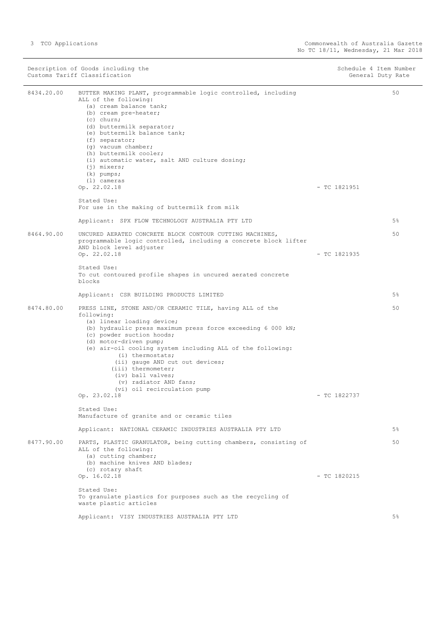| Description of Goods including the<br>Customs Tariff Classification |                                                                                                                                                                                                                                                                                                                                                                                                                                                                                                                                   | Schedule 4 Item Number<br>General Duty Rate |  |
|---------------------------------------------------------------------|-----------------------------------------------------------------------------------------------------------------------------------------------------------------------------------------------------------------------------------------------------------------------------------------------------------------------------------------------------------------------------------------------------------------------------------------------------------------------------------------------------------------------------------|---------------------------------------------|--|
| 8434.20.00                                                          | BUTTER MAKING PLANT, programmable logic controlled, including<br>ALL of the following:<br>(a) cream balance tank;<br>(b) cream pre-heater;<br>$(c)$ churn;<br>(d) buttermilk separator;<br>(e) buttermilk balance tank;<br>(f) separator;<br>(g) vacuum chamber;<br>(h) buttermilk cooler;<br>(i) automatic water, salt AND culture dosing;<br>$(j)$ mixers;<br>(k) pumps;<br>(1) cameras<br>Op. 22.02.18<br>Stated Use:<br>For use in the making of buttermilk from milk                                                         | 50<br>$-$ TC 1821951                        |  |
|                                                                     | Applicant: SPX FLOW TECHNOLOGY AUSTRALIA PTY LTD                                                                                                                                                                                                                                                                                                                                                                                                                                                                                  | $5\%$                                       |  |
| 8464.90.00                                                          | UNCURED AERATED CONCRETE BLOCK CONTOUR CUTTING MACHINES,<br>programmable logic controlled, including a concrete block lifter<br>AND block level adjuster<br>Op. 22.02.18<br>Stated Use:<br>To cut contoured profile shapes in uncured aerated concrete<br>blocks                                                                                                                                                                                                                                                                  | 50<br>$-$ TC 1821935                        |  |
|                                                                     | Applicant: CSR BUILDING PRODUCTS LIMITED                                                                                                                                                                                                                                                                                                                                                                                                                                                                                          | 5%                                          |  |
| 8474.80.00                                                          | PRESS LINE, STONE AND/OR CERAMIC TILE, having ALL of the<br>following:<br>(a) linear loading device;<br>(b) hydraulic press maximum press force exceeding 6 000 kN;<br>(c) powder suction hoods;<br>(d) motor-driven pump;<br>(e) air-oil cooling system including ALL of the following:<br>(i) thermostats;<br>(ii) gauge AND cut out devices;<br>(iii) thermometer;<br>(iv) ball valves;<br>(v) radiator AND fans;<br>(vi) oil recirculation pump<br>Op. 23.02.18<br>Stated Use:<br>Manufacture of granite and or ceramic tiles | 50<br>$-$ TC 1822737                        |  |
|                                                                     | Applicant: NATIONAL CERAMIC INDUSTRIES AUSTRALIA PTY LTD                                                                                                                                                                                                                                                                                                                                                                                                                                                                          | $5\%$                                       |  |
| 8477.90.00                                                          | PARTS, PLASTIC GRANULATOR, being cutting chambers, consisting of<br>ALL of the following:<br>(a) cutting chamber;<br>(b) machine knives AND blades;<br>(c) rotary shaft<br>Op. 16.02.18<br>Stated Use:<br>To granulate plastics for purposes such as the recycling of<br>waste plastic articles                                                                                                                                                                                                                                   | 50<br>$- TC 1820215$                        |  |
|                                                                     | Applicant: VISY INDUSTRIES AUSTRALIA PTY LTD                                                                                                                                                                                                                                                                                                                                                                                                                                                                                      | 5%                                          |  |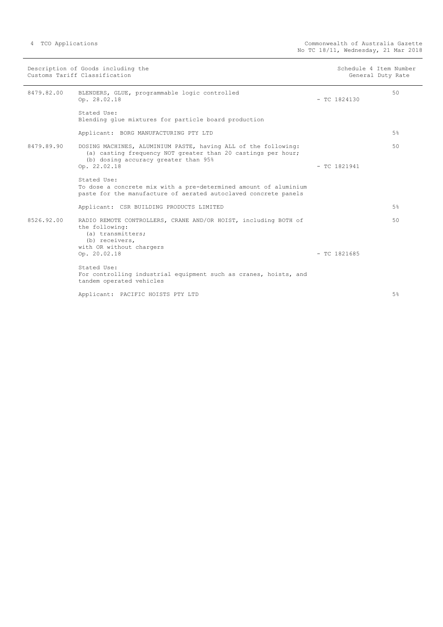| Description of Goods including the<br>Customs Tariff Classification |                                                                                                                                                                                        | Schedule 4 Item Number | General Duty Rate |
|---------------------------------------------------------------------|----------------------------------------------------------------------------------------------------------------------------------------------------------------------------------------|------------------------|-------------------|
| 8479.82.00                                                          | BLENDERS, GLUE, programmable logic controlled<br>Op. 28.02.18                                                                                                                          | $-$ TC 1824130         | 50                |
|                                                                     | Stated Use:<br>Blending glue mixtures for particle board production                                                                                                                    |                        |                   |
|                                                                     | Applicant: BORG MANUFACTURING PTY LTD                                                                                                                                                  |                        | 5%                |
| 8479.89.90                                                          | DOSING MACHINES, ALUMINIUM PASTE, having ALL of the following:<br>(a) casting frequency NOT greater than 20 castings per hour;<br>(b) dosing accuracy greater than 95%<br>Op. 22.02.18 | $-$ TC 1821941         | 50                |
|                                                                     | Stated Use:<br>To dose a concrete mix with a pre-determined amount of aluminium<br>paste for the manufacture of aerated autoclaved concrete panels                                     |                        |                   |
|                                                                     | Applicant: CSR BUILDING PRODUCTS LIMITED                                                                                                                                               |                        | 5%                |
| 8526.92.00                                                          | RADIO REMOTE CONTROLLERS, CRANE AND/OR HOIST, including BOTH of<br>the following:<br>(a) transmitters;<br>(b) receivers,<br>with OR without chargers                                   |                        | 50                |
|                                                                     | Op. 20.02.18                                                                                                                                                                           | $-$ TC 1821685         |                   |
|                                                                     | Stated Use:<br>For controlling industrial equipment such as cranes, hoists, and<br>tandem operated vehicles                                                                            |                        |                   |
|                                                                     | Applicant: PACIFIC HOISTS PTY LTD                                                                                                                                                      |                        | 5%                |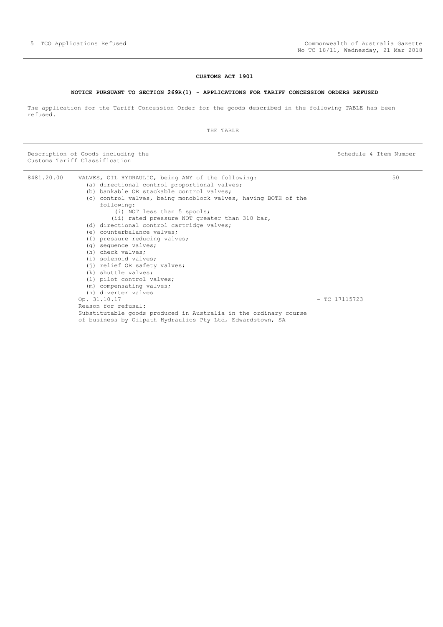#### **CUSTOMS ACT 1901**

#### **NOTICE PURSUANT TO SECTION 269R(1) - APPLICATIONS FOR TARIFF CONCESSION ORDERS REFUSED**

<span id="page-4-0"></span>The application for the Tariff Concession Order for the goods described in the following TABLE has been refused.

THE TABLE

| 8481.20.00 | VALVES, OIL HYDRAULIC, being ANY of the following:               | 50              |
|------------|------------------------------------------------------------------|-----------------|
|            | (a) directional control proportional valves;                     |                 |
|            | (b) bankable OR stackable control valves;                        |                 |
|            | (c) control valves, being monoblock valves, having BOTH of the   |                 |
|            | following:                                                       |                 |
|            | (i) NOT less than 5 spools;                                      |                 |
|            | (ii) rated pressure NOT greater than 310 bar,                    |                 |
|            | (d) directional control cartridge valves;                        |                 |
|            | (e) counterbalance valves;                                       |                 |
|            | (f) pressure reducing valves;                                    |                 |
|            | (q) sequence valves;                                             |                 |
|            | (h) check valves;                                                |                 |
|            | (i) solenoid valves;                                             |                 |
|            | (j) relief OR safety valves;                                     |                 |
|            | (k) shuttle valves;                                              |                 |
|            | (1) pilot control valves;                                        |                 |
|            | (m) compensating valves;                                         |                 |
|            | (n) diverter valves                                              |                 |
|            | Op. 31.10.17                                                     | $-$ TC 17115723 |
|            | Reason for refusal:                                              |                 |
|            | Substitutable goods produced in Australia in the ordinary course |                 |
|            | of business by Oilpath Hydraulics Pty Ltd, Edwardstown, SA       |                 |
|            |                                                                  |                 |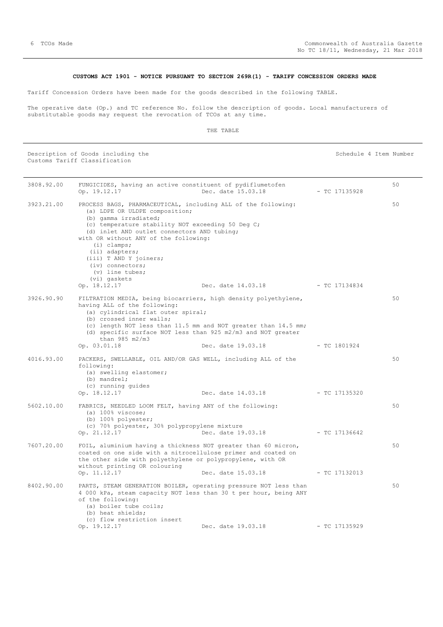#### **CUSTOMS ACT 1901 - NOTICE PURSUANT TO SECTION 269R(1) - TARIFF CONCESSION ORDERS MADE**

<span id="page-5-0"></span>Tariff Concession Orders have been made for the goods described in the following TABLE.

The operative date (Op.) and TC reference No. follow the description of goods. Local manufacturers of substitutable goods may request the revocation of TCOs at any time.

#### THE TABLE

| 3808.92.00 | FUNGICIDES, having an active constituent of pydiflumetofen<br>Op. 19.12.17                                                                                                                                                                                                                                                                                                                    | Dec. date 15.03.18                                                                   | - TC 17135928   | 50 |
|------------|-----------------------------------------------------------------------------------------------------------------------------------------------------------------------------------------------------------------------------------------------------------------------------------------------------------------------------------------------------------------------------------------------|--------------------------------------------------------------------------------------|-----------------|----|
| 3923.21.00 | PROCESS BAGS, PHARMACEUTICAL, including ALL of the following:<br>(a) LDPE OR ULDPE composition;<br>(b) gamma irradiated;<br>(c) temperature stability NOT exceeding 50 Deg C;<br>(d) inlet AND outlet connectors AND tubing;<br>with OR without ANY of the following:<br>$(i)$ clamps;<br>(ii) adapters;<br>(iii) T AND Y joiners;<br>$(iv)$ connectors;<br>$(v)$ line tubes;<br>(vi) gaskets |                                                                                      |                 | 50 |
|            | Op. 18.12.17                                                                                                                                                                                                                                                                                                                                                                                  | Dec. date $14.03.18$ - TC 17134834                                                   |                 |    |
| 3926.90.90 | FILTRATION MEDIA, being biocarriers, high density polyethylene,<br>having ALL of the following:<br>(a) cylindrical flat outer spiral;<br>(b) crossed inner walls;<br>(d) specific surface NOT less than 925 m2/m3 and NOT greater<br>than $985 \text{ m}2/\text{m}3$<br>Op. 03.01.18                                                                                                          | (c) length NOT less than 11.5 mm and NOT greater than 14.5 mm;<br>Dec. date 19.03.18 | - TC 1801924    | 50 |
| 4016.93.00 | PACKERS, SWELLABLE, OIL AND/OR GAS WELL, including ALL of the                                                                                                                                                                                                                                                                                                                                 |                                                                                      |                 | 50 |
|            | following:<br>(a) swelling elastomer;<br>$(b)$ mandrel;<br>(c) running guides<br>Op. 18.12.17                                                                                                                                                                                                                                                                                                 | Dec. date 14.03.18                                                                   | $-$ TC 17135320 |    |
| 5602.10.00 | FABRICS, NEEDLED LOOM FELT, having ANY of the following:<br>$(a)$ 100% viscose;<br>(b) 100% polyester;<br>(c) 70% polyester, 30% polypropylene mixture<br>Op. 21.12.17                                                                                                                                                                                                                        | Dec. date 19.03.18                                                                   | - TC 17136642   | 50 |
| 7607.20.00 | FOIL, aluminium having a thickness NOT greater than 60 micron,<br>coated on one side with a nitrocellulose primer and coated on<br>the other side with polyethylene or polypropylene, with OR<br>without printing OR colouring                                                                                                                                                                |                                                                                      |                 | 50 |
|            | Op. 11.12.17                                                                                                                                                                                                                                                                                                                                                                                  | Dec. date 15.03.18                                                                   | $-$ TC 17132013 |    |
| 8402.90.00 | PARTS, STEAM GENERATION BOILER, operating pressure NOT less than<br>4 000 kPa, steam capacity NOT less than 30 t per hour, being ANY<br>of the following:<br>(a) boiler tube coils;<br>(b) heat shields;<br>(c) flow restriction insert                                                                                                                                                       |                                                                                      |                 | 50 |
|            | Op. 19.12.17                                                                                                                                                                                                                                                                                                                                                                                  | Dec. date 19.03.18                                                                   | $-$ TC 17135929 |    |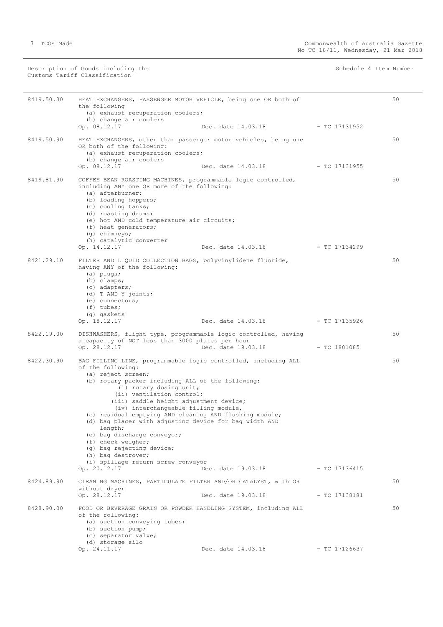| 8419.50.30 | HEAT EXCHANGERS, PASSENGER MOTOR VEHICLE, being one OR both of<br>the following<br>(a) exhaust recuperation coolers;<br>(b) change air coolers                                                                                                                                                                                                                                                                                                                                                                                                                                                         |                                  |                 | 50 |
|------------|--------------------------------------------------------------------------------------------------------------------------------------------------------------------------------------------------------------------------------------------------------------------------------------------------------------------------------------------------------------------------------------------------------------------------------------------------------------------------------------------------------------------------------------------------------------------------------------------------------|----------------------------------|-----------------|----|
|            | Op. 08.12.17                                                                                                                                                                                                                                                                                                                                                                                                                                                                                                                                                                                           | Dec. date 14.03.18 - TC 17131952 |                 |    |
| 8419.50.90 | HEAT EXCHANGERS, other than passenger motor vehicles, being one<br>OR both of the following:<br>(a) exhaust recuperation coolers;<br>(b) change air coolers<br>Op. 08.12.17                                                                                                                                                                                                                                                                                                                                                                                                                            | Dec. date 14.03.18               | - TC 17131955   | 50 |
| 8419.81.90 | COFFEE BEAN ROASTING MACHINES, programmable logic controlled,<br>including ANY one OR more of the following:<br>(a) afterburner;<br>(b) loading hoppers;<br>(c) cooling tanks;<br>(d) roasting drums;<br>(e) hot AND cold temperature air circuits;<br>(f) heat generators;<br>(g) chimneys;<br>(h) catalytic converter<br>Op. 14.12.17                                                                                                                                                                                                                                                                | Dec. date 14.03.18 - TC 17134299 |                 | 50 |
| 8421.29.10 | FILTER AND LIQUID COLLECTION BAGS, polyvinylidene fluoride,<br>having ANY of the following:<br>(a) plugs;<br>$(b)$ clamps;<br>(c) adapters;<br>(d) T AND Y joints;<br>(e) connectors;<br>$(f)$ tubes;<br>(g) gaskets<br>Op. 18.12.17                                                                                                                                                                                                                                                                                                                                                                   | Dec. date 14.03.18               | - TC 17135926   | 50 |
| 8422.19.00 | DISHWASHERS, flight type, programmable logic controlled, having<br>a capacity of NOT less than 3000 plates per hour<br>Op. 28.12.17                                                                                                                                                                                                                                                                                                                                                                                                                                                                    | Dec. date 19.03.18               | $-$ TC 1801085  | 50 |
| 8422.30.90 | BAG FILLING LINE, programmable logic controlled, including ALL<br>of the following:<br>(a) reject screen;<br>(b) rotary packer including ALL of the following:<br>(i) rotary dosing unit;<br>(ii) ventilation control;<br>(iii) saddle height adjustment device;<br>(iv) interchangeable filling module,<br>(c) residual emptying AND cleaning AND flushing module;<br>(d) bag placer with adjusting device for bag width AND<br>length;<br>(e) bag discharge conveyor;<br>(f) check weigher;<br>(g) bag rejecting device;<br>(h) bag destroyer;<br>(i) spillage return screw conveyor<br>Op. 20.12.17 | Dec. date 19.03.18               | - TC 17136415   | 50 |
| 8424.89.90 | CLEANING MACHINES, PARTICULATE FILTER AND/OR CATALYST, with OR<br>without dryer<br>Op. 28.12.17                                                                                                                                                                                                                                                                                                                                                                                                                                                                                                        | Dec. date 19.03.18               | $-$ TC 17138181 | 50 |
| 8428.90.00 | FOOD OR BEVERAGE GRAIN OR POWDER HANDLING SYSTEM, including ALL<br>of the following:<br>(a) suction conveying tubes;<br>(b) suction pump;<br>(c) separator valve;<br>(d) storage silo<br>Op. 24.11.17                                                                                                                                                                                                                                                                                                                                                                                                  | Dec. date 14.03.18               | $-$ TC 17126637 | 50 |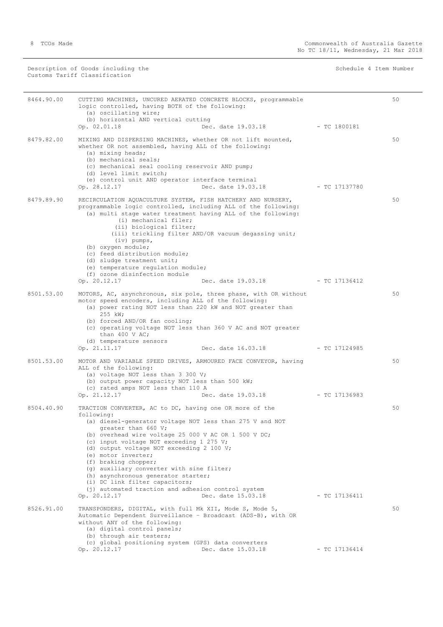(a) oscillating wire;

|            | Description of Goods including the<br>Customs Tariff Classification                                                | Schedule 4 Item Number |
|------------|--------------------------------------------------------------------------------------------------------------------|------------------------|
| 8464.90.00 | CUTTING MACHINES, UNCURED AERATED CONCRETE BLOCKS, programmable<br>logic controlled, having BOTH of the following: | 50                     |

|            | (b) horizontal AND vertical cutting<br>Op. 02.01.18                                                                                                                                                                                                                                                                                                                                                                                                                                     | Dec. date 19.03.18               | $-$ TC 1800181  |    |
|------------|-----------------------------------------------------------------------------------------------------------------------------------------------------------------------------------------------------------------------------------------------------------------------------------------------------------------------------------------------------------------------------------------------------------------------------------------------------------------------------------------|----------------------------------|-----------------|----|
| 8479.82.00 | MIXING AND DISPERSING MACHINES, whether OR not lift mounted,<br>whether OR not assembled, having ALL of the following:<br>(a) mixing heads;<br>(b) mechanical seals;<br>(c) mechanical seal cooling reservoir AND pump;<br>(d) level limit switch;<br>(e) control unit AND operator interface terminal<br>Op. 28.12.17                                                                                                                                                                  | Dec. date 19.03.18               | $-$ TC 17137780 | 50 |
| 8479.89.90 | RECIRCULATION AQUACULTURE SYSTEM, FISH HATCHERY AND NURSERY,<br>programmable logic controlled, including ALL of the following:<br>(a) multi stage water treatment having ALL of the following:<br>(i) mechanical filer;<br>(ii) biological filter;<br>(iii) trickling filter AND/OR vacuum degassing unit;<br>$(iv)$ pumps,<br>(b) oxygen module;<br>(c) feed distribution module;<br>(d) sludge treatment unit;<br>(e) temperature requlation module;<br>(f) ozone disinfection module |                                  |                 | 50 |
|            | Op. 20.12.17                                                                                                                                                                                                                                                                                                                                                                                                                                                                            | Dec. date 19.03.18 - TC 17136412 |                 |    |
| 8501.53.00 | MOTORS, AC, asynchronous, six pole, three phase, with OR without<br>motor speed encoders, including ALL of the following:<br>(a) power rating NOT less than 220 kW and NOT greater than<br>255 kW;<br>(b) forced AND/OR fan cooling;<br>(c) operating voltage NOT less than 360 V AC and NOT greater<br>than 400 V AC;<br>(d) temperature sensors<br>Op. 21.11.17                                                                                                                       | Dec. date 16.03.18               | - TC 17124985   | 50 |
|            |                                                                                                                                                                                                                                                                                                                                                                                                                                                                                         |                                  |                 |    |
| 8501.53.00 | MOTOR AND VARIABLE SPEED DRIVES, ARMOURED FACE CONVEYOR, having<br>ALL of the following:<br>(a) voltage NOT less than 3 300 V;<br>(b) output power capacity NOT less than 500 kW;<br>(c) rated amps NOT less than 110 A<br>Op. 21.12.17                                                                                                                                                                                                                                                 | Dec. date 19.03.18               | $-$ TC 17136983 | 50 |
| 8504.40.90 | TRACTION CONVERTER, AC to DC, having one OR more of the<br>following:<br>(a) diesel-generator voltage NOT less than 275 V and NOT<br>greater than 660 V;<br>(b) overhead wire voltage 25 000 V AC OR 1 500 V DC;<br>(c) input voltage NOT exceeding 1 275 V;<br>(d) output voltage NOT exceeding 2 100 V;<br>(e) motor inverter;<br>(f) braking chopper;                                                                                                                                |                                  |                 | 50 |
|            | (g) auxiliary converter with sine filter;<br>(h) asynchronous generator starter;<br>(i) DC link filter capacitors;<br>(j) automated traction and adhesion control system<br>Op. 20.12.17                                                                                                                                                                                                                                                                                                | Dec. date 15.03.18               | $-$ TC 17136411 |    |
| 8526.91.00 | TRANSPONDERS, DIGITAL, with full Mk XII, Mode S, Mode 5,<br>Automatic Dependent Surveillance - Broadcast (ADS-B), with OR<br>without ANY of the following:<br>(a) digital control panels;<br>(b) through air testers;                                                                                                                                                                                                                                                                   |                                  |                 | 50 |

 (c) global positioning system (GPS) data converters Op. 20.12.17 Dec. date 15.03.18 - TC 17136414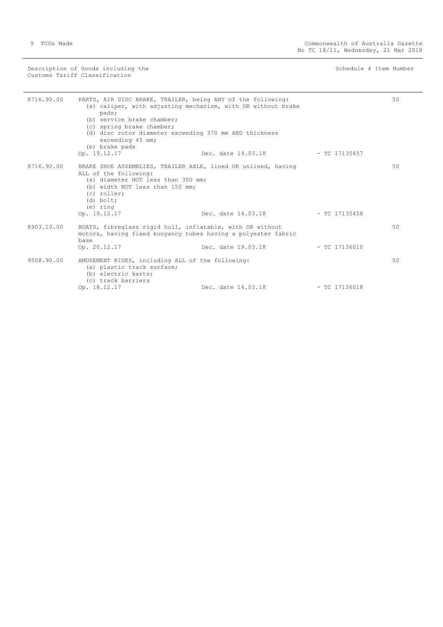| 8716.90.00 | PARTS, AIR DISC BRAKE, TRAILER, being ANY of the following:<br>(a) caliper, with adjusting mechanism, with OR without brake<br>pads;<br>(b) service brake chamber;<br>(c) spring brake chamber;<br>(d) disc rotor diameter exceeding 370 mm AND thickness<br>exceeding 45 mm;<br>(e) brake pads<br>Op. 19.12.17 | Dec. date 19.03.18 TC 17135457     |                 | 50 |
|------------|-----------------------------------------------------------------------------------------------------------------------------------------------------------------------------------------------------------------------------------------------------------------------------------------------------------------|------------------------------------|-----------------|----|
| 8716.90.00 | BRAKE SHOE ASSEMBLIES, TRAILER AXLE, lined OR unlined, having<br>ALL of the following:<br>(a) diameter NOT less than 300 mm;<br>(b) width NOT less than 150 mm;<br>(c) roller;<br>$(d)$ bolt;<br>(e) ring<br>Op. 19.12.17                                                                                       | Dec. date $14.03.18$ - TC 17135458 |                 | 50 |
| 8903.10.00 | BOATS, fibreglass rigid hull, inflatable, with OR without<br>motors, having fixed buoyancy tubes having a polyester fabric<br>base<br>Op. 20.12.17                                                                                                                                                              | Dec. date 19.03.18                 | $-$ TC 17136010 | 50 |
| 9508.90.00 | AMUSEMENT RIDES, including ALL of the following:<br>(a) plastic track surface;<br>(b) electric karts;<br>(c) track barriers<br>Op. 18.12.17                                                                                                                                                                     | Dec. date 14.03.18                 | $-$ TC 17136018 | 50 |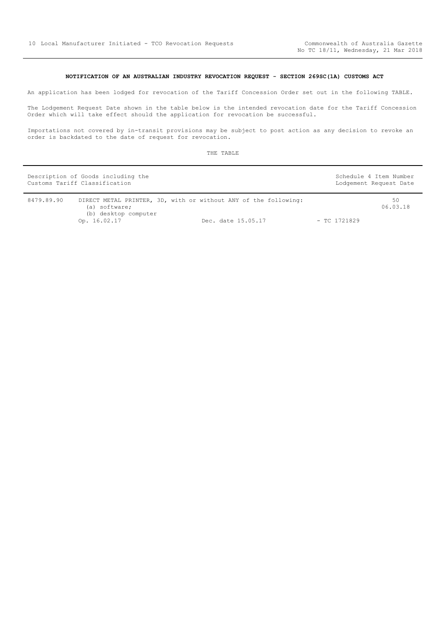#### **NOTIFICATION OF AN AUSTRALIAN INDUSTRY REVOCATION REQUEST - SECTION 269SC(1A) CUSTOMS ACT**

<span id="page-9-0"></span>An application has been lodged for revocation of the Tariff Concession Order set out in the following TABLE.

The Lodgement Request Date shown in the table below is the intended revocation date for the Tariff Concession Order which will take effect should the application for revocation be successful.

Importations not covered by in-transit provisions may be subject to post action as any decision to revoke an order is backdated to the date of request for revocation.

|            | Description of Goods including the<br>Customs Tariff Classification |                                                                                       |                | Schedule 4 Item Number<br>Lodgement Request Date |
|------------|---------------------------------------------------------------------|---------------------------------------------------------------------------------------|----------------|--------------------------------------------------|
| 8479.89.90 | (a) software;<br>(b) desktop computer<br>Op. 16.02.17               | DIRECT METAL PRINTER, 3D, with or without ANY of the following:<br>Dec. date 15.05.17 | $-$ TC 1721829 | 50<br>06.03.18                                   |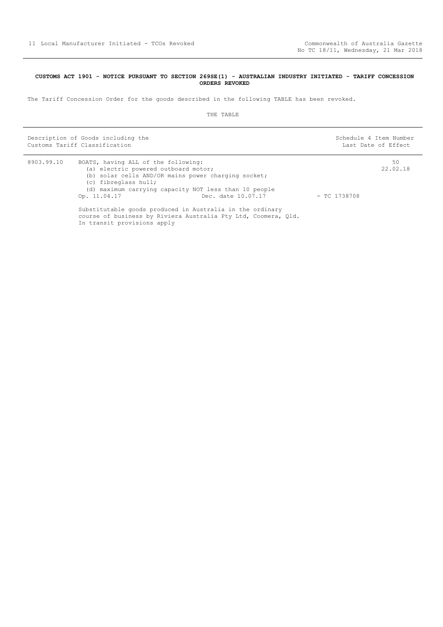#### <span id="page-10-0"></span>**CUSTOMS ACT 1901 - NOTICE PURSUANT TO SECTION 269SE(1) - AUSTRALIAN INDUSTRY INITIATED - TARIFF CONCESSION ORDERS REVOKED**

The Tariff Concession Order for the goods described in the following TABLE has been revoked.

| Description of Goods including the<br>Customs Tariff Classification |                                                                                                                                                                                                                                     | Schedule 4 Item Number<br>Last Date of Effect                  |                |                |
|---------------------------------------------------------------------|-------------------------------------------------------------------------------------------------------------------------------------------------------------------------------------------------------------------------------------|----------------------------------------------------------------|----------------|----------------|
| 8903.99.10                                                          | BOATS, having ALL of the following:<br>(a) electric powered outboard motor;<br>(b) solar cells AND/OR mains power charging socket;<br>(c) fibreglass hull;<br>(d) maximum carrying capacity NOT less than 10 people<br>Op. 11.04.17 | Dec. date 10.07.17                                             | $-$ TC 1738708 | 50<br>22.02.18 |
|                                                                     | Substitutable goods produced in Australia in the ordinary<br>In transit provisions apply                                                                                                                                            | course of business by Riviera Australia Pty Ltd, Coomera, Qld. |                |                |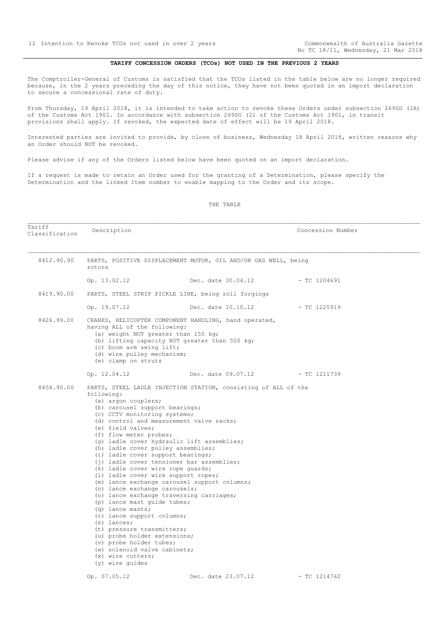No TC 18/11, Wednesday, 21 Mar 2018

#### **TARIFF CONCESSION ORDERS (TCOs) NOT USED IN THE PREVIOUS 2 YEARS**

<span id="page-11-0"></span>The Comptroller-General of Customs is satisfied that the TCOs listed in the table below are no longer required because, in the 2 years preceding the day of this notice, they have not been quoted in an import declaration to secure a concessional rate of duty.

From Thursday, 19 April 2018, it is intended to take action to revoke these Orders under subsection 269SD (1A) of the Customs Act 1901. In accordance with subsection 269SG (2) of the Customs Act 1901, in transit provisions shall apply. If revoked, the expected date of effect will be 19 April 2018.

Interested parties are invited to provide, by close of business, Wednesday 18 April 2018, written reasons why an Order should NOT be revoked.

Please advise if any of the Orders listed below have been quoted on an import declaration.

If a request is made to retain an Order used for the granting of a Determination, please specify the Determination and the linked Item number to enable mapping to the Order and its scope.

| Tariff<br>Classification                                                                                                                                                                                                                                                     | Description                                                                                                                                                                                                                                                                                                                                                                                                                                                                                                                                                                                                                                                                                                                                                                                                                                                                                                                                                                  |                                 | Concession Number |  |  |
|------------------------------------------------------------------------------------------------------------------------------------------------------------------------------------------------------------------------------------------------------------------------------|------------------------------------------------------------------------------------------------------------------------------------------------------------------------------------------------------------------------------------------------------------------------------------------------------------------------------------------------------------------------------------------------------------------------------------------------------------------------------------------------------------------------------------------------------------------------------------------------------------------------------------------------------------------------------------------------------------------------------------------------------------------------------------------------------------------------------------------------------------------------------------------------------------------------------------------------------------------------------|---------------------------------|-------------------|--|--|
| 8412.90.90                                                                                                                                                                                                                                                                   | PARTS, POSITIVE DISPLACEMENT MOTOR, OIL AND/OR GAS WELL, being<br>rotors                                                                                                                                                                                                                                                                                                                                                                                                                                                                                                                                                                                                                                                                                                                                                                                                                                                                                                     |                                 |                   |  |  |
|                                                                                                                                                                                                                                                                              | Op. 13.02.12                                                                                                                                                                                                                                                                                                                                                                                                                                                                                                                                                                                                                                                                                                                                                                                                                                                                                                                                                                 | Dec. date 30.04.12              | $-$ TC 1204691    |  |  |
| 8419.90.00                                                                                                                                                                                                                                                                   | PARTS, STEEL STRIP PICKLE LINE, being roll forgings                                                                                                                                                                                                                                                                                                                                                                                                                                                                                                                                                                                                                                                                                                                                                                                                                                                                                                                          |                                 |                   |  |  |
|                                                                                                                                                                                                                                                                              | Op. 19.07.12                                                                                                                                                                                                                                                                                                                                                                                                                                                                                                                                                                                                                                                                                                                                                                                                                                                                                                                                                                 | Dec. date 10.10.12              | - TC 1225919      |  |  |
| 8426.99.00<br>CRANES, HELICOPTER COMPONENT HANDLING, hand operated,<br>having ALL of the following:<br>(a) weight NOT greater than 150 kg;<br>(b) lifting capacity NOT greater than 500 kg;<br>(c) boom arm swing lift;<br>(d) wire pulley mechanism;<br>(e) clamp on struts |                                                                                                                                                                                                                                                                                                                                                                                                                                                                                                                                                                                                                                                                                                                                                                                                                                                                                                                                                                              |                                 |                   |  |  |
|                                                                                                                                                                                                                                                                              | Op. 12.04.12                                                                                                                                                                                                                                                                                                                                                                                                                                                                                                                                                                                                                                                                                                                                                                                                                                                                                                                                                                 | Dec. date 09.07.12 - TC 1211739 |                   |  |  |
| 8454.90.00                                                                                                                                                                                                                                                                   | PARTS, STEEL LADLE INJECTION STATION, consisting of ALL of the<br>following:<br>(a) argon couplers;<br>(b) carousel support bearings;<br>(c) CCTV monitoring systems;<br>(d) control and measurement valve racks;<br>(e) field valves;<br>(f) flow meter probes;<br>(g) ladle cover hydraulic lift assemblies;<br>(h) ladle cover pulley assemblies;<br>(i) ladle cover support bearings;<br>(i) ladle cover tensioner bar assemblies;<br>(k) ladle cover wire rope quards;<br>(1) ladle cover wire support ropes;<br>(m) lance exchange carousel support columns;<br>(n) lance exchange carousels;<br>(o) lance exchange traversing carriages;<br>(p) lance mast quide tubes;<br>(q) lance masts;<br>(r) lance support columns;<br>$(s)$ lances;<br>(t) pressure transmitters;<br>(u) probe holder extensions;<br>(v) probe holder tubes;<br>(w) solenoid valve cabinets;<br>$(x)$ wire cutters;<br>(y) wire guides<br>Op. 07.05.12<br>Dec. date 23.07.12<br>$-$ TC 1214762 |                                 |                   |  |  |